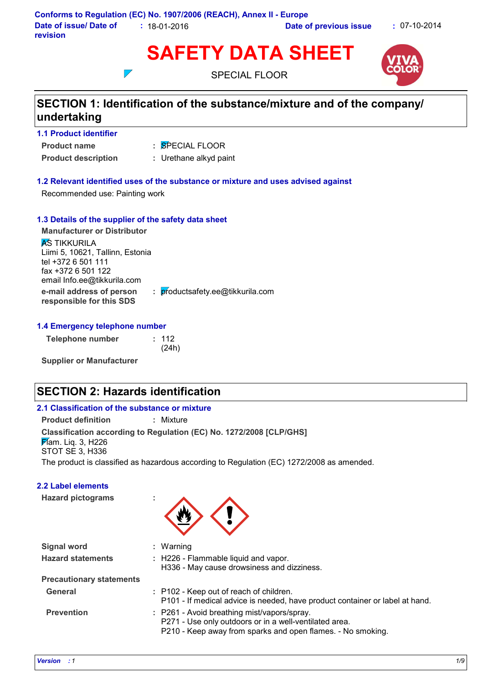

SPECIAL FLOOR



# **SECTION 1: Identification of the substance/mixture and of the company/ undertaking**

- **1.1 Product identifier**
- SPECIAL FLOOR **:**
- **Product name**
- 
- **Product description :** Urethane alkyd paint

### **1.2 Relevant identified uses of the substance or mixture and uses advised against**

Recommended use: Painting work

### **1.3 Details of the supplier of the safety data sheet**

 $\overline{\phantom{a}}$ 

**e-mail address of person responsible for this SDS :** productsafety.ee@tikkurila.com **Manufacturer or Distributor AS TIKKURILA** Liimi 5, 10621, Tallinn, Estonia tel +372 6 501 111 fax +372 6 501 122 email Info.ee@tikkurila.com

### **1.4 Emergency telephone number**

**Telephone number :** 112

(24h)

**Supplier or Manufacturer**

# **SECTION 2: Hazards identification**

| 2.1 Classification of the substance or mixture                                                                                 |           |  |  |
|--------------------------------------------------------------------------------------------------------------------------------|-----------|--|--|
| <b>Product definition</b>                                                                                                      | : Mixture |  |  |
| Classification according to Regulation (EC) No. 1272/2008 [CLP/GHS]<br>$\cancel{P}$ am. Liq. 3, H226<br><b>STOT SE 3, H336</b> |           |  |  |
| The product is classified as hazardous according to Regulation (EC) 1272/2008 as amended.                                      |           |  |  |
| <b>2.2 Label elements</b>                                                                                                      |           |  |  |

**Hazard pictograms :**



| <b>Signal word</b><br><b>Hazard statements</b> | : Warning<br>: H226 - Flammable liquid and vapor.<br>H336 - May cause drowsiness and dizziness.                                                                      |
|------------------------------------------------|----------------------------------------------------------------------------------------------------------------------------------------------------------------------|
| <b>Precautionary statements</b>                |                                                                                                                                                                      |
| General                                        | : P102 - Keep out of reach of children.<br>P101 - If medical advice is needed, have product container or label at hand.                                              |
| <b>Prevention</b>                              | : P261 - Avoid breathing mist/vapors/spray.<br>P271 - Use only outdoors or in a well-ventilated area.<br>P210 - Keep away from sparks and open flames. - No smoking. |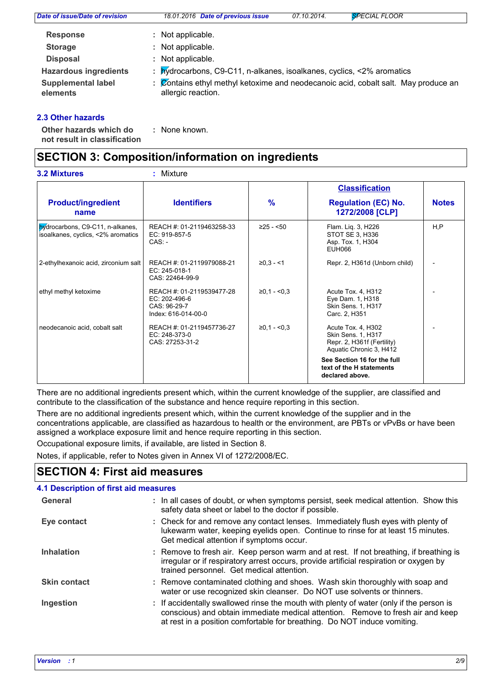| Date of issue/Date of revision        | 18.01.2016 Date of previous issue                                                                      | 07.10.2014. | <b>SPECIAL FLOOR</b> |
|---------------------------------------|--------------------------------------------------------------------------------------------------------|-------------|----------------------|
| <b>Response</b>                       | : Not applicable.                                                                                      |             |                      |
| <b>Storage</b>                        | : Not applicable.                                                                                      |             |                      |
| <b>Disposal</b>                       | : Not applicable.                                                                                      |             |                      |
| <b>Hazardous ingredients</b>          | : bydrocarbons, C9-C11, n-alkanes, isoalkanes, cyclics, <2% aromatics                                  |             |                      |
| <b>Supplemental label</b><br>elements | Contains ethyl methyl ketoxime and neodecanoic acid, cobalt salt. May produce an<br>allergic reaction. |             |                      |
|                                       |                                                                                                        |             |                      |

### **2.3 Other hazards**

**Other hazards which do :**

: None known.

# **not result in classification**

# **SECTION 3: Composition/information on ingredients**

|                                                                        |                                                                                   |                 | <b>Classification</b>                                                                                    |              |
|------------------------------------------------------------------------|-----------------------------------------------------------------------------------|-----------------|----------------------------------------------------------------------------------------------------------|--------------|
| <b>Product/ingredient</b><br>name                                      | <b>Identifiers</b>                                                                | $\frac{9}{6}$   | <b>Regulation (EC) No.</b><br>1272/2008 [CLP]                                                            | <b>Notes</b> |
| bydrocarbons, C9-C11, n-alkanes,<br>isoalkanes, cyclics, <2% aromatics | REACH #: 01-2119463258-33<br>EC: 919-857-5<br>$CAS: -$                            | $\geq$ 25 - <50 | Flam. Lig. 3, H226<br>STOT SE 3, H336<br>Asp. Tox. 1, H304<br>EUH066                                     | H.P          |
| 2-ethylhexanoic acid, zirconium salt                                   | REACH #: 01-2119979088-21<br>EC: 245-018-1<br>CAS: 22464-99-9                     | $≥0,3 - <1$     | Repr. 2, H361d (Unborn child)                                                                            |              |
| ethyl methyl ketoxime                                                  | REACH #: 01-2119539477-28<br>EC: 202-496-6<br>CAS: 96-29-7<br>Index: 616-014-00-0 | $≥0,1 - <0,3$   | Acute Tox. 4, H312<br>Eye Dam. 1, H318<br>Skin Sens. 1, H317<br>Carc. 2, H351                            |              |
| neodecanoic acid, cobalt salt                                          | REACH #: 01-2119457736-27<br>$EC: 248-373-0$<br>CAS: 27253-31-2                   | $≥0,1 - <0,3$   | Acute Tox. 4, H302<br><b>Skin Sens. 1, H317</b><br>Repr. 2, H361f (Fertility)<br>Aquatic Chronic 3, H412 |              |
|                                                                        |                                                                                   |                 | See Section 16 for the full<br>text of the H statements<br>declared above.                               |              |

There are no additional ingredients present which, within the current knowledge of the supplier, are classified and contribute to the classification of the substance and hence require reporting in this section.

There are no additional ingredients present which, within the current knowledge of the supplier and in the concentrations applicable, are classified as hazardous to health or the environment, are PBTs or vPvBs or have been assigned a workplace exposure limit and hence require reporting in this section.

Occupational exposure limits, if available, are listed in Section 8.

Notes, if applicable, refer to Notes given in Annex VI of 1272/2008/EC.

# **SECTION 4: First aid measures**

#### : If accidentally swallowed rinse the mouth with plenty of water (only if the person is conscious) and obtain immediate medical attention. Remove to fresh air and keep at rest in a position comfortable for breathing. Do NOT induce vomiting. **Skin contact** Check for and remove any contact lenses. Immediately flush eyes with plenty of **:** lukewarm water, keeping eyelids open. Continue to rinse for at least 15 minutes. Get medical attention if symptoms occur. Remove contaminated clothing and shoes. Wash skin thoroughly with soap and **:** water or use recognized skin cleanser. Do NOT use solvents or thinners. **4.1 Description of first aid measures** Remove to fresh air. Keep person warm and at rest. If not breathing, if breathing is **:** irregular or if respiratory arrest occurs, provide artificial respiration or oxygen by trained personnel. Get medical attention. **Ingestion Inhalation Eye contact General :** In all cases of doubt, or when symptoms persist, seek medical attention. Show this safety data sheet or label to the doctor if possible.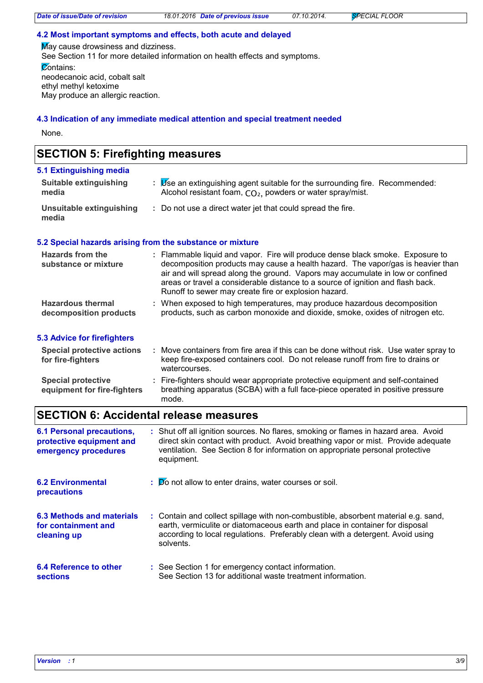### **4.2 Most important symptoms and effects, both acute and delayed**

May cause drowsiness and dizziness. See Section 11 for more detailed information on health effects and symptoms. Contains: neodecanoic acid, cobalt salt ethyl methyl ketoxime May produce an allergic reaction.

### **4.3 Indication of any immediate medical attention and special treatment needed**

None.

### **SECTION 5: Firefighting measures**

| 5.1 Extinguishing media           |                                                                                                                                            |
|-----------------------------------|--------------------------------------------------------------------------------------------------------------------------------------------|
| Suitable extinguishing<br>media   | Use an extinguishing agent suitable for the surrounding fire. Recommended:<br>Alcohol resistant foam, $CO2$ , powders or water spray/mist. |
| Unsuitable extinguishing<br>media | : Do not use a direct water jet that could spread the fire.                                                                                |

### **5.2 Special hazards arising from the substance or mixture**

| Hazards from the<br>substance or mixture           | : Flammable liquid and vapor. Fire will produce dense black smoke. Exposure to<br>decomposition products may cause a health hazard. The vapor/gas is heavier than<br>air and will spread along the ground. Vapors may accumulate in low or confined<br>areas or travel a considerable distance to a source of ignition and flash back.<br>Runoff to sewer may create fire or explosion hazard. |
|----------------------------------------------------|------------------------------------------------------------------------------------------------------------------------------------------------------------------------------------------------------------------------------------------------------------------------------------------------------------------------------------------------------------------------------------------------|
| <b>Hazardous thermal</b><br>decomposition products | : When exposed to high temperatures, may produce hazardous decomposition<br>products, such as carbon monoxide and dioxide, smoke, oxides of nitrogen etc.                                                                                                                                                                                                                                      |

### **5.3 Advice for firefighters**

| <b>Special protective actions</b><br>for fire-fighters   | Move containers from fire area if this can be done without risk. Use water spray to<br>keep fire-exposed containers cool. Do not release runoff from fire to drains or<br>watercourses. |
|----------------------------------------------------------|-----------------------------------------------------------------------------------------------------------------------------------------------------------------------------------------|
| <b>Special protective</b><br>equipment for fire-fighters | : Fire-fighters should wear appropriate protective equipment and self-contained<br>breathing apparatus (SCBA) with a full face-piece operated in positive pressure<br>mode.             |

# **SECTION 6: Accidental release measures**

| <b>6.1 Personal precautions,</b><br>protective equipment and<br>emergency procedures | : Shut off all ignition sources. No flares, smoking or flames in hazard area. Avoid<br>direct skin contact with product. Avoid breathing vapor or mist. Provide adequate<br>ventilation. See Section 8 for information on appropriate personal protective<br>equipment. |
|--------------------------------------------------------------------------------------|-------------------------------------------------------------------------------------------------------------------------------------------------------------------------------------------------------------------------------------------------------------------------|
| <b>6.2 Environmental</b><br>precautions                                              | : Do not allow to enter drains, water courses or soil.                                                                                                                                                                                                                  |
| 6.3 Methods and materials<br>for containment and<br>cleaning up                      | : Contain and collect spillage with non-combustible, absorbent material e.g. sand,<br>earth, vermiculite or diatomaceous earth and place in container for disposal<br>according to local regulations. Preferably clean with a detergent. Avoid using<br>solvents.       |
| 6.4 Reference to other<br><b>sections</b>                                            | : See Section 1 for emergency contact information.<br>See Section 13 for additional waste treatment information.                                                                                                                                                        |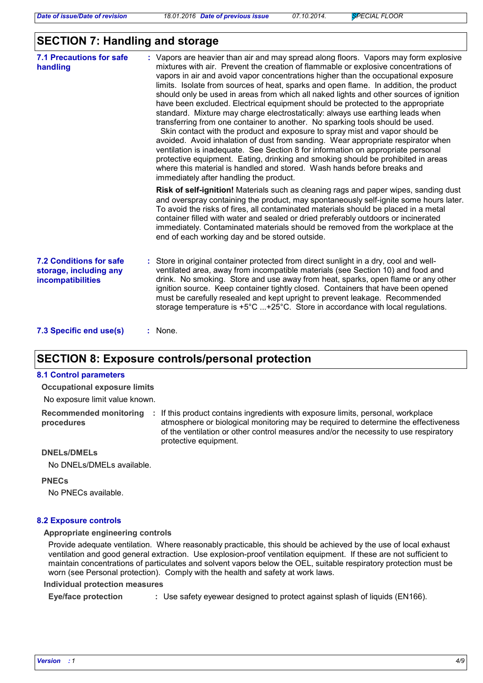### **SECTION 7: Handling and storage**

| <b>7.1 Precautions for safe</b><br>handling                                   | : Vapors are heavier than air and may spread along floors. Vapors may form explosive<br>mixtures with air. Prevent the creation of flammable or explosive concentrations of<br>vapors in air and avoid vapor concentrations higher than the occupational exposure<br>limits. Isolate from sources of heat, sparks and open flame. In addition, the product<br>should only be used in areas from which all naked lights and other sources of ignition<br>have been excluded. Electrical equipment should be protected to the appropriate<br>standard. Mixture may charge electrostatically: always use earthing leads when<br>transferring from one container to another. No sparking tools should be used.<br>Skin contact with the product and exposure to spray mist and vapor should be<br>avoided. Avoid inhalation of dust from sanding. Wear appropriate respirator when<br>ventilation is inadequate. See Section 8 for information on appropriate personal<br>protective equipment. Eating, drinking and smoking should be prohibited in areas<br>where this material is handled and stored. Wash hands before breaks and<br>immediately after handling the product. |
|-------------------------------------------------------------------------------|------------------------------------------------------------------------------------------------------------------------------------------------------------------------------------------------------------------------------------------------------------------------------------------------------------------------------------------------------------------------------------------------------------------------------------------------------------------------------------------------------------------------------------------------------------------------------------------------------------------------------------------------------------------------------------------------------------------------------------------------------------------------------------------------------------------------------------------------------------------------------------------------------------------------------------------------------------------------------------------------------------------------------------------------------------------------------------------------------------------------------------------------------------------------------|
|                                                                               | Risk of self-ignition! Materials such as cleaning rags and paper wipes, sanding dust<br>and overspray containing the product, may spontaneously self-ignite some hours later.<br>To avoid the risks of fires, all contaminated materials should be placed in a metal<br>container filled with water and sealed or dried preferably outdoors or incinerated<br>immediately. Contaminated materials should be removed from the workplace at the<br>end of each working day and be stored outside.                                                                                                                                                                                                                                                                                                                                                                                                                                                                                                                                                                                                                                                                              |
| <b>7.2 Conditions for safe</b><br>storage, including any<br>incompatibilities | : Store in original container protected from direct sunlight in a dry, cool and well-<br>ventilated area, away from incompatible materials (see Section 10) and food and<br>drink. No smoking. Store and use away from heat, sparks, open flame or any other<br>ignition source. Keep container tightly closed. Containers that have been opened<br>must be carefully resealed and kept upright to prevent leakage. Recommended<br>storage temperature is $+5^{\circ}$ C  +25°C. Store in accordance with local regulations.                                                                                                                                                                                                                                                                                                                                                                                                                                                                                                                                                                                                                                                 |
| <b>7.3 Specific and usals)</b>                                                | . None                                                                                                                                                                                                                                                                                                                                                                                                                                                                                                                                                                                                                                                                                                                                                                                                                                                                                                                                                                                                                                                                                                                                                                       |

**7.3 Specific end use(s)** None. **:**

### **SECTION 8: Exposure controls/personal protection**

#### **8.1 Control parameters**

**Occupational exposure limits**

No exposure limit value known.

**procedures**

Recommended monitoring : If this product contains ingredients with exposure limits, personal, workplace atmosphere or biological monitoring may be required to determine the effectiveness of the ventilation or other control measures and/or the necessity to use respiratory protective equipment.

#### **DNELs/DMELs**

No DNELs/DMELs available.

#### **PNECs**

No PNECs available.

#### **8.2 Exposure controls**

#### **Appropriate engineering controls**

Provide adequate ventilation. Where reasonably practicable, this should be achieved by the use of local exhaust ventilation and good general extraction. Use explosion-proof ventilation equipment. If these are not sufficient to maintain concentrations of particulates and solvent vapors below the OEL, suitable respiratory protection must be worn (see Personal protection). Comply with the health and safety at work laws.

#### **Individual protection measures**

**Eye/face protection :** Use safety eyewear designed to protect against splash of liquids (EN166).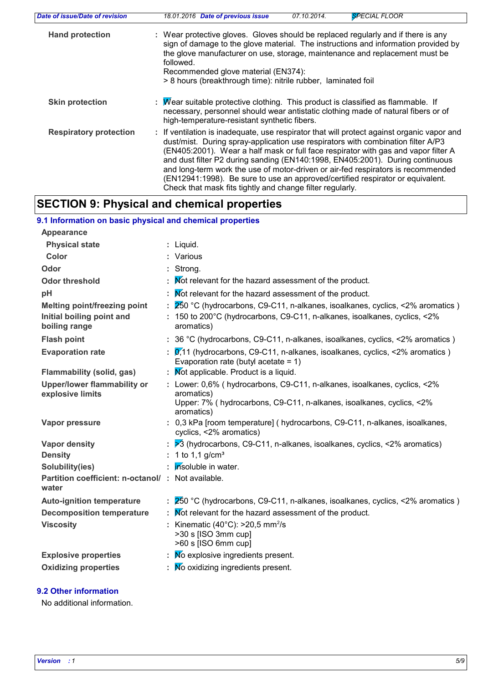| Date of issue/Date of revision | <b>SPECIAL FLOOR</b><br>18.01.2016 Date of previous issue<br>07.10.2014.                                                                                                                                                                                                                                                                                                                                                                                                                                                                                                                 |
|--------------------------------|------------------------------------------------------------------------------------------------------------------------------------------------------------------------------------------------------------------------------------------------------------------------------------------------------------------------------------------------------------------------------------------------------------------------------------------------------------------------------------------------------------------------------------------------------------------------------------------|
| <b>Hand protection</b>         | : Wear protective gloves. Gloves should be replaced regularly and if there is any<br>sign of damage to the glove material. The instructions and information provided by<br>the glove manufacturer on use, storage, maintenance and replacement must be<br>followed.<br>Recommended glove material (EN374):<br>> 8 hours (breakthrough time): nitrile rubber, laminated foil                                                                                                                                                                                                              |
| <b>Skin protection</b>         | : Mear suitable protective clothing. This product is classified as flammable. If<br>necessary, personnel should wear antistatic clothing made of natural fibers or of<br>high-temperature-resistant synthetic fibers.                                                                                                                                                                                                                                                                                                                                                                    |
| <b>Respiratory protection</b>  | : If ventilation is inadequate, use respirator that will protect against organic vapor and<br>dust/mist. During spray-application use respirators with combination filter A/P3<br>(EN405:2001). Wear a half mask or full face respirator with gas and vapor filter A<br>and dust filter P2 during sanding (EN140:1998, EN405:2001). During continuous<br>and long-term work the use of motor-driven or air-fed respirators is recommended<br>(EN12941:1998). Be sure to use an approved/certified respirator or equivalent.<br>Check that mask fits tightly and change filter regularly. |

# **SECTION 9: Physical and chemical properties**

# **9.1 Information on basic physical and chemical properties**

| <b>Appearance</b>                                          |                                                                                                                                                                              |
|------------------------------------------------------------|------------------------------------------------------------------------------------------------------------------------------------------------------------------------------|
| <b>Physical state</b>                                      | : Liquid.                                                                                                                                                                    |
| Color                                                      | : Various                                                                                                                                                                    |
| Odor                                                       | : Strong.                                                                                                                                                                    |
| <b>Odor threshold</b>                                      | Not relevant for the hazard assessment of the product.                                                                                                                       |
| pH                                                         | Mot relevant for the hazard assessment of the product.                                                                                                                       |
| <b>Melting point/freezing point</b>                        | 250 °C (hydrocarbons, C9-C11, n-alkanes, isoalkanes, cyclics, <2% aromatics)                                                                                                 |
| Initial boiling point and<br>boiling range                 | : 150 to 200°C (hydrocarbons, C9-C11, n-alkanes, isoalkanes, cyclics, <2%<br>aromatics)                                                                                      |
| <b>Flash point</b>                                         | : 36 °C (hydrocarbons, C9-C11, n-alkanes, isoalkanes, cyclics, <2% aromatics)                                                                                                |
| <b>Evaporation rate</b>                                    | $\alpha$ ,11 (hydrocarbons, C9-C11, n-alkanes, isoalkanes, cyclics, <2% aromatics)<br>Evaporation rate (butyl acetate = $1$ )                                                |
| <b>Flammability (solid, gas)</b>                           | : Mot applicable. Product is a liquid.                                                                                                                                       |
| <b>Upper/lower flammability or</b><br>explosive limits     | : Lower: 0,6% (hydrocarbons, C9-C11, n-alkanes, isoalkanes, cyclics, <2%<br>aromatics)<br>Upper: 7% (hydrocarbons, C9-C11, n-alkanes, isoalkanes, cyclics, <2%<br>aromatics) |
| Vapor pressure                                             | : 0,3 kPa [room temperature] (hydrocarbons, C9-C11, n-alkanes, isoalkanes,<br>cyclics, <2% aromatics)                                                                        |
| Vapor density                                              | $\geqslant$ 3 (hydrocarbons, C9-C11, n-alkanes, isoalkanes, cyclics, <2% aromatics)                                                                                          |
| <b>Density</b>                                             | : 1 to 1,1 $q/cm^3$                                                                                                                                                          |
| Solubility(ies)                                            | insoluble in water.                                                                                                                                                          |
| Partition coefficient: n-octanol/: Not available.<br>water |                                                                                                                                                                              |
| <b>Auto-ignition temperature</b>                           | 250 °C (hydrocarbons, C9-C11, n-alkanes, isoalkanes, cyclics, <2% aromatics)                                                                                                 |
| <b>Decomposition temperature</b>                           | Not relevant for the hazard assessment of the product.                                                                                                                       |
| <b>Viscosity</b>                                           | : Kinematic (40 $^{\circ}$ C): >20,5 mm <sup>2</sup> /s<br>>30 s [ISO 3mm cup]<br>>60 s [ISO 6mm cup]                                                                        |
| <b>Explosive properties</b>                                | No explosive ingredients present.                                                                                                                                            |
| <b>Oxidizing properties</b>                                | No oxidizing ingredients present.                                                                                                                                            |

### **9.2 Other information**

No additional information.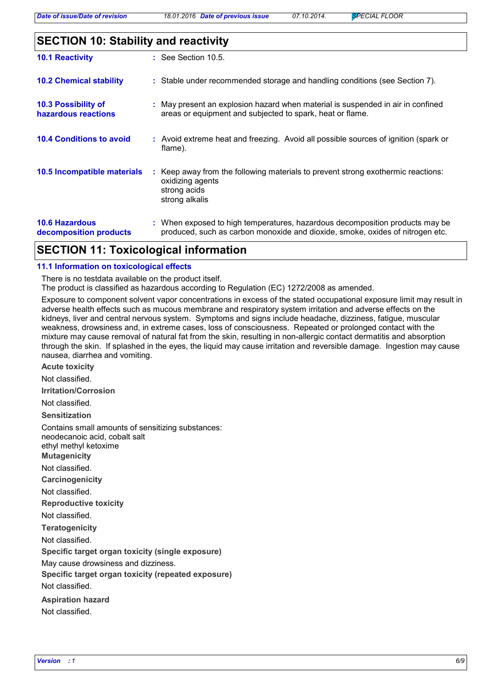# **SECTION 10: Stability and reactivity**

| <b>10.1 Reactivity</b>                            | $\therefore$ See Section 10.5.                                                                                                                                |
|---------------------------------------------------|---------------------------------------------------------------------------------------------------------------------------------------------------------------|
| <b>10.2 Chemical stability</b>                    | : Stable under recommended storage and handling conditions (see Section 7).                                                                                   |
| <b>10.3 Possibility of</b><br>hazardous reactions | : May present an explosion hazard when material is suspended in air in confined<br>areas or equipment and subjected to spark, heat or flame.                  |
| <b>10.4 Conditions to avoid</b>                   | : Avoid extreme heat and freezing. Avoid all possible sources of ignition (spark or<br>flame).                                                                |
| 10.5 Incompatible materials                       | : Keep away from the following materials to prevent strong exothermic reactions:<br>oxidizing agents<br>strong acids<br>strong alkalis                        |
| <b>10.6 Hazardous</b><br>decomposition products   | : When exposed to high temperatures, hazardous decomposition products may be<br>produced, such as carbon monoxide and dioxide, smoke, oxides of nitrogen etc. |

# **SECTION 11: Toxicological information**

### **11.1 Information on toxicological effects**

There is no testdata available on the product itself.

The product is classified as hazardous according to Regulation (EC) 1272/2008 as amended.

Exposure to component solvent vapor concentrations in excess of the stated occupational exposure limit may result in adverse health effects such as mucous membrane and respiratory system irritation and adverse effects on the kidneys, liver and central nervous system. Symptoms and signs include headache, dizziness, fatigue, muscular weakness, drowsiness and, in extreme cases, loss of consciousness. Repeated or prolonged contact with the mixture may cause removal of natural fat from the skin, resulting in non-allergic contact dermatitis and absorption through the skin. If splashed in the eyes, the liquid may cause irritation and reversible damage. Ingestion may cause nausea, diarrhea and vomiting.

**Acute toxicity**

Not classified.

**Irritation/Corrosion**

Not classified.

**Sensitization**

Contains small amounts of sensitizing substances:

neodecanoic acid, cobalt salt

ethyl methyl ketoxime

**Mutagenicity**

Not classified.

**Carcinogenicity**

Not classified.

**Reproductive toxicity**

Not classified.

**Teratogenicity**

Not classified.

**Specific target organ toxicity (single exposure)**

May cause drowsiness and dizziness.

**Specific target organ toxicity (repeated exposure)** Not classified.

**Aspiration hazard** Not classified.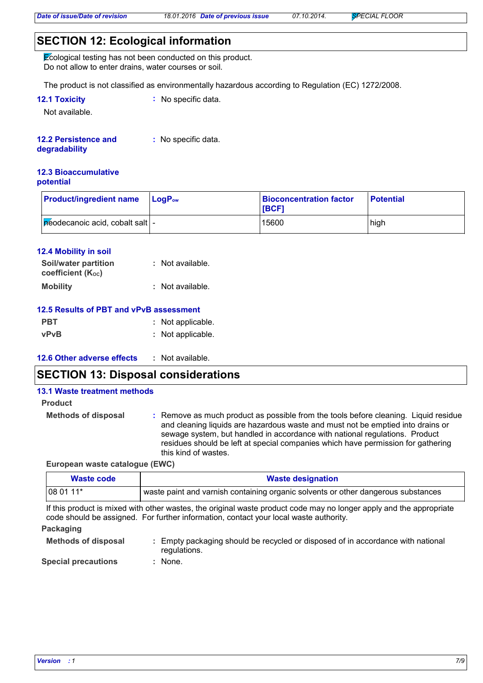# **SECTION 12: Ecological information**

Ecological testing has not been conducted on this product. Do not allow to enter drains, water courses or soil.

The product is not classified as environmentally hazardous according to Regulation (EC) 1272/2008.

| <b>12.1 Toxicity</b> | : No specific data. |
|----------------------|---------------------|
|----------------------|---------------------|

Not available.

#### **12.2 Persistence and :** No specific data.

#### **degradability**

#### **12.3 Bioaccumulative potential**

| <b>Product/ingredient name</b>    | $\blacksquare$ Log $\mathsf{P}_\mathsf{ow}$ | <b>Bioconcentration factor</b><br><b>IBCF1</b> | <b>Potential</b> |
|-----------------------------------|---------------------------------------------|------------------------------------------------|------------------|
| péodecanoic acid, cobalt salt   - |                                             | 15600                                          | high             |

### **12.4 Mobility in soil**

| Soil/water partition     | : Not available. |
|--------------------------|------------------|
| <b>coefficient (Koc)</b> |                  |
| <b>Mobility</b>          | : Not available. |

### **12.5 Results of PBT and vPvB assessment**

| <b>PBT</b>  | : Not applicable. |
|-------------|-------------------|
| <b>vPvB</b> | : Not applicable. |

#### **12.6 Other adverse effects :**

### **SECTION 13: Disposal considerations**

#### **13.1 Waste treatment methods**

#### **Product**

**Methods of disposal :** Remove as much product as possible from the tools before cleaning. Liquid residue and cleaning liquids are hazardous waste and must not be emptied into drains or sewage system, but handled in accordance with national regulations. Product residues should be left at special companies which have permission for gathering this kind of wastes.

**European waste catalogue (EWC)**

| Waste code                                                                                                          | <b>Waste designation</b>                                                          |  |
|---------------------------------------------------------------------------------------------------------------------|-----------------------------------------------------------------------------------|--|
| $1080111*$                                                                                                          | waste paint and varnish containing organic solvents or other dangerous substances |  |
| If this product is mixed with other wastes, the original waste product code may no longer apply and the appropriate |                                                                                   |  |

It is mixed with other wastes, the original waste product code may no longer apply and the appropriate code should be assigned. For further information, contact your local waste authority.

### **Packaging**

| <b>Methods of disposal</b> | : Empty packaging should be recycled or disposed of in accordance with national<br>regulations. |
|----------------------------|-------------------------------------------------------------------------------------------------|
| Omaalal musaaniisma.       | <b>Nama</b>                                                                                     |

**Special precautions :** : None.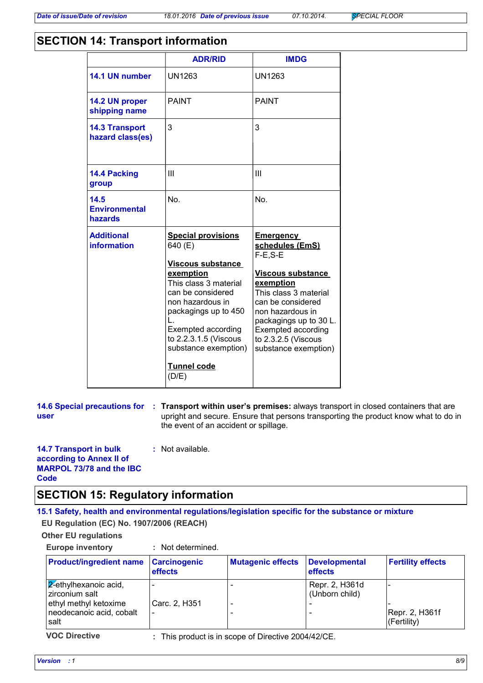# **SECTION 14: Transport information**

|                                           | <b>ADR/RID</b>                                                                                                                                                                                                                                                                            | <b>IMDG</b>                                                                                                                                                                                                                                                       |
|-------------------------------------------|-------------------------------------------------------------------------------------------------------------------------------------------------------------------------------------------------------------------------------------------------------------------------------------------|-------------------------------------------------------------------------------------------------------------------------------------------------------------------------------------------------------------------------------------------------------------------|
| 14.1 UN number                            | <b>UN1263</b>                                                                                                                                                                                                                                                                             | <b>UN1263</b>                                                                                                                                                                                                                                                     |
| 14.2 UN proper<br>shipping name           | <b>PAINT</b>                                                                                                                                                                                                                                                                              | <b>PAINT</b>                                                                                                                                                                                                                                                      |
| <b>14.3 Transport</b><br>hazard class(es) | 3                                                                                                                                                                                                                                                                                         | 3                                                                                                                                                                                                                                                                 |
| <b>14.4 Packing</b><br>group              | Ш                                                                                                                                                                                                                                                                                         | Ш                                                                                                                                                                                                                                                                 |
| 14.5<br><b>Environmental</b><br>hazards   | No.                                                                                                                                                                                                                                                                                       | N <sub>0</sub>                                                                                                                                                                                                                                                    |
| <b>Additional</b><br>information          | <b>Special provisions</b><br>640 (E)<br><b>Viscous substance</b><br>exemption<br>This class 3 material<br>can be considered<br>non hazardous in<br>packagings up to 450<br>L<br><b>Exempted according</b><br>to 2.2.3.1.5 (Viscous<br>substance exemption)<br><b>Tunnel code</b><br>(D/E) | <u>Emergency</u><br>schedules (EmS)<br>$F-E.S-E$<br><b>Viscous substance</b><br>exemption<br>This class 3 material<br>can be considered<br>non hazardous in<br>packagings up to 30 L.<br><b>Exempted according</b><br>to 2.3.2.5 (Viscous<br>substance exemption) |

|      | 14.6 Special precautions for : Transport within user's premises: always transport in closed containers that are              |
|------|------------------------------------------------------------------------------------------------------------------------------|
| user | upright and secure. Ensure that persons transporting the product know what to do in<br>the event of an accident or spillage. |

#### **14.7 Transport in bulk according to Annex II of MARPOL 73/78 and the IBC Code :** Not available.

### **SECTION 15: Regulatory information**

### **15.1 Safety, health and environmental regulations/legislation specific for the substance or mixture**

**EU Regulation (EC) No. 1907/2006 (REACH)**

```
Other EU regulations
```

| <b>Europe inventory</b> | Not determined. |  |
|-------------------------|-----------------|--|
|                         |                 |  |

| <b>Product/ingredient name</b>                            | <b>Carcinogenic</b><br><b>effects</b> | <b>Mutagenic effects</b> | <b>Developmental</b><br>effects  | <b>Fertility effects</b>      |
|-----------------------------------------------------------|---------------------------------------|--------------------------|----------------------------------|-------------------------------|
| $\sqrt{2}$ -ethylhexanoic acid,<br>zirconium salt         |                                       |                          | Repr. 2, H361d<br>(Unborn child) |                               |
| ethyl methyl ketoxime<br>neodecanoic acid, cobalt<br>salt | Carc. 2, H351                         |                          |                                  | Repr. 2, H361f<br>(Fertility) |

**VOC Directive :** This product is in scope of Directive 2004/42/CE.